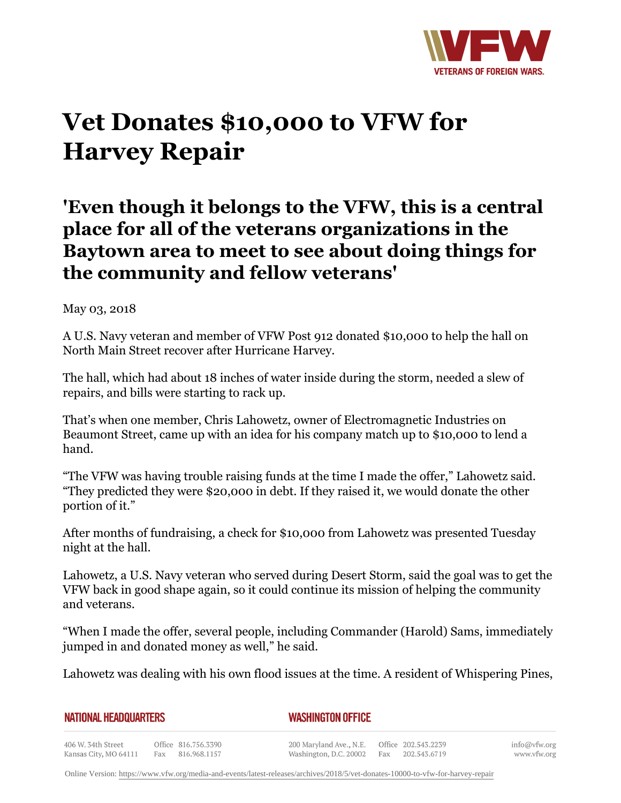

## **Vet Donates \$10,000 to VFW for Harvey Repair**

## **'Even though it belongs to the VFW, this is a central place for all of the veterans organizations in the Baytown area to meet to see about doing things for the community and fellow veterans'**

May 03, 2018

A U.S. Navy veteran and member of VFW Post 912 donated \$10,000 to help the hall on North Main Street recover after Hurricane Harvey.

The hall, which had about 18 inches of water inside during the storm, needed a slew of repairs, and bills were starting to rack up.

That's when one member, Chris Lahowetz, owner of Electromagnetic Industries on Beaumont Street, came up with an idea for his company match up to \$10,000 to lend a hand.

"The VFW was having trouble raising funds at the time I made the offer," Lahowetz said. "They predicted they were \$20,000 in debt. If they raised it, we would donate the other portion of it."

After months of fundraising, a check for \$10,000 from Lahowetz was presented Tuesday night at the hall.

Lahowetz, a U.S. Navy veteran who served during Desert Storm, said the goal was to get the VFW back in good shape again, so it could continue its mission of helping the community and veterans.

"When I made the offer, several people, including Commander (Harold) Sams, immediately jumped in and donated money as well," he said.

Lahowetz was dealing with his own flood issues at the time. A resident of Whispering Pines,

*WASHINGTON OFFICE*